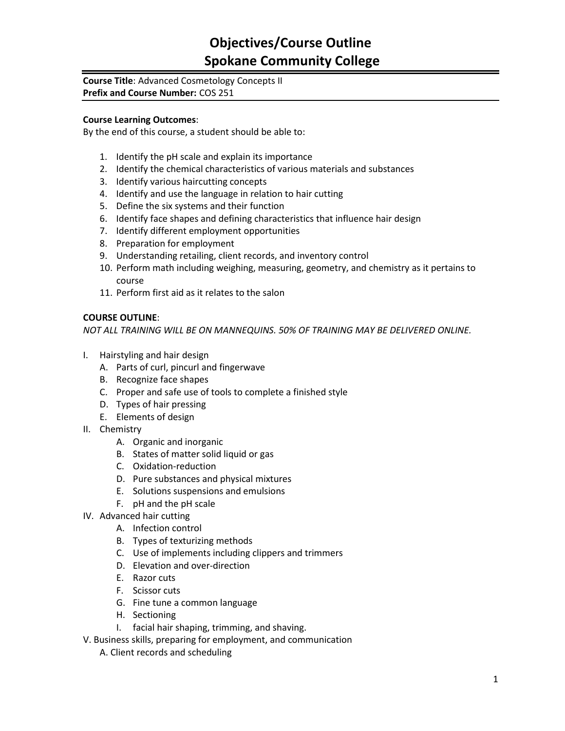# **Objectives/Course Outline Spokane Community College**

#### **Course Title**: Advanced Cosmetology Concepts II **Prefix and Course Number:** COS 251

#### **Course Learning Outcomes**:

By the end of this course, a student should be able to:

- 1. Identify the pH scale and explain its importance
- 2. Identify the chemical characteristics of various materials and substances
- 3. Identify various haircutting concepts
- 4. Identify and use the language in relation to hair cutting
- 5. Define the six systems and their function
- 6. Identify face shapes and defining characteristics that influence hair design
- 7. Identify different employment opportunities
- 8. Preparation for employment
- 9. Understanding retailing, client records, and inventory control
- 10. Perform math including weighing, measuring, geometry, and chemistry as it pertains to course
- 11. Perform first aid as it relates to the salon

### **COURSE OUTLINE**:

*NOT ALL TRAINING WILL BE ON MANNEQUINS. 50% OF TRAINING MAY BE DELIVERED ONLINE.*

- I. Hairstyling and hair design
	- A. Parts of curl, pincurl and fingerwave
	- B. Recognize face shapes
	- C. Proper and safe use of tools to complete a finished style
	- D. Types of hair pressing
	- E. Elements of design
- II. Chemistry
	- A. Organic and inorganic
	- B. States of matter solid liquid or gas
	- C. Oxidation-reduction
	- D. Pure substances and physical mixtures
	- E. Solutions suspensions and emulsions
	- F. pH and the pH scale
- IV. Advanced hair cutting
	- A. Infection control
	- B. Types of texturizing methods
	- C. Use of implements including clippers and trimmers
	- D. Elevation and over-direction
	- E. Razor cuts
	- F. Scissor cuts
	- G. Fine tune a common language
	- H. Sectioning
	- I. facial hair shaping, trimming, and shaving.
- V. Business skills, preparing for employment, and communication
	- A. Client records and scheduling